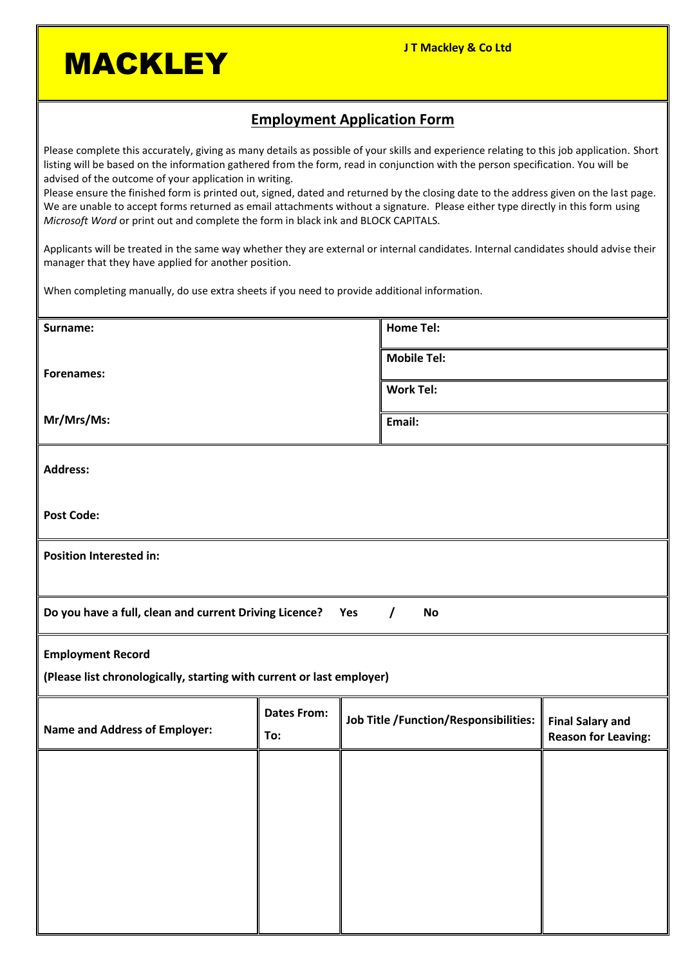**MACKLEY** 

### **Employment Application Form**

Please complete this accurately, giving as many details as possible of your skills and experience relating to this job application. Short listing will be based on the information gathered from the form, read in conjunction with the person specification. You will be advised of the outcome of your application in writing.

Please ensure the finished form is printed out, signed, dated and returned by the closing date to the address given on the last page. We are unable to accept forms returned as email attachments without a signature. Please either type directly in this form using *Microsoft Word* or print out and complete the form in black ink and BLOCK CAPITALS.

Applicants will be treated in the same way whether they are external or internal candidates. Internal candidates should advise their manager that they have applied for another position.

When completing manually, do use extra sheets if you need to provide additional information.

| Surname:                                                                               |                    |                                       | <b>Home Tel:</b>   |                            |  |  |
|----------------------------------------------------------------------------------------|--------------------|---------------------------------------|--------------------|----------------------------|--|--|
| Forenames:                                                                             |                    |                                       | <b>Mobile Tel:</b> |                            |  |  |
|                                                                                        |                    |                                       | <b>Work Tel:</b>   |                            |  |  |
| Mr/Mrs/Ms:                                                                             |                    |                                       | Email:             |                            |  |  |
| <b>Address:</b>                                                                        |                    |                                       |                    |                            |  |  |
| <b>Post Code:</b>                                                                      |                    |                                       |                    |                            |  |  |
| Position Interested in:                                                                |                    |                                       |                    |                            |  |  |
| Do you have a full, clean and current Driving Licence?<br><b>No</b><br>Yes<br>$\prime$ |                    |                                       |                    |                            |  |  |
| <b>Employment Record</b>                                                               |                    |                                       |                    |                            |  |  |
| (Please list chronologically, starting with current or last employer)                  |                    |                                       |                    |                            |  |  |
| Name and Address of Employer:                                                          | <b>Dates From:</b> | Job Title /Function/Responsibilities: |                    | <b>Final Salary and</b>    |  |  |
|                                                                                        | To:                |                                       |                    | <b>Reason for Leaving:</b> |  |  |
|                                                                                        |                    |                                       |                    |                            |  |  |
|                                                                                        |                    |                                       |                    |                            |  |  |
|                                                                                        |                    |                                       |                    |                            |  |  |
|                                                                                        |                    |                                       |                    |                            |  |  |
|                                                                                        |                    |                                       |                    |                            |  |  |
|                                                                                        |                    |                                       |                    |                            |  |  |
|                                                                                        |                    |                                       |                    |                            |  |  |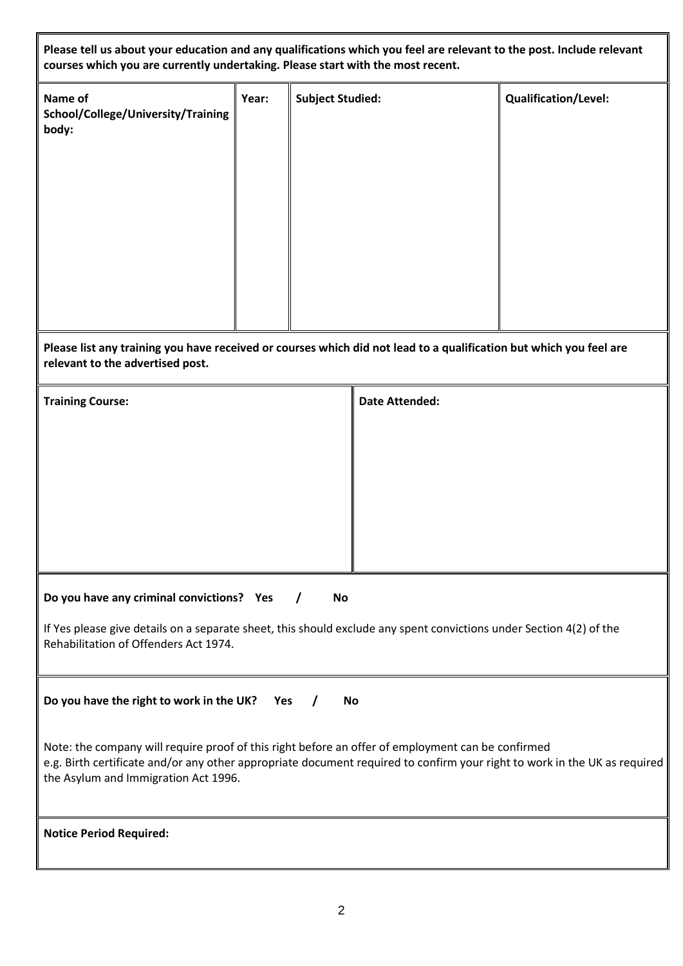**Please tell us about your education and any qualifications which you feel are relevant to the post. Include relevant** 

| courses which you are currently undertaking. Please start with the most recent.                                                                              |       |                         |                       |                      |  |  |
|--------------------------------------------------------------------------------------------------------------------------------------------------------------|-------|-------------------------|-----------------------|----------------------|--|--|
| Name of<br>School/College/University/Training<br>body:                                                                                                       | Year: | <b>Subject Studied:</b> |                       | Qualification/Level: |  |  |
| Please list any training you have received or courses which did not lead to a qualification but which you feel are<br>relevant to the advertised post.       |       |                         |                       |                      |  |  |
| <b>Training Course:</b>                                                                                                                                      |       |                         | <b>Date Attended:</b> |                      |  |  |
|                                                                                                                                                              |       |                         |                       |                      |  |  |
| Do you have any criminal convictions? Yes                                                                                                                    |       | No<br>$\prime$          |                       |                      |  |  |
| If Yes please give details on a separate sheet, this should exclude any spent convictions under Section 4(2) of the<br>Rehabilitation of Offenders Act 1974. |       |                         |                       |                      |  |  |
| Do you have the right to work in the UK?                                                                                                                     | Yes   | No                      |                       |                      |  |  |

Note: the company will require proof of this right before an offer of employment can be confirmed e.g. Birth certificate and/or any other appropriate document required to confirm your right to work in the UK as required the Asylum and Immigration Act 1996.

**Notice Period Required:**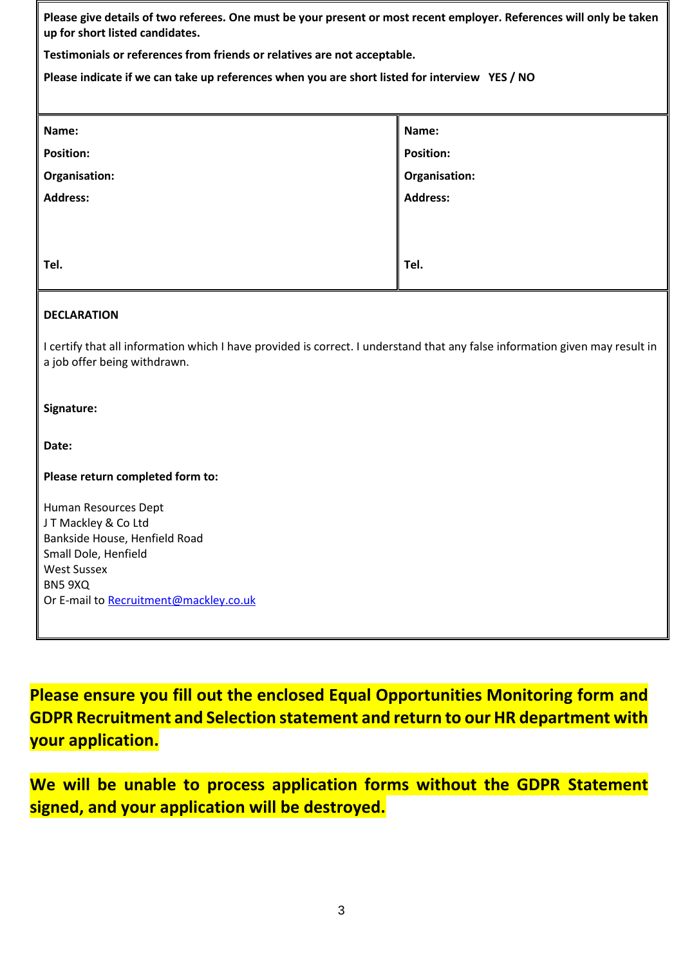**Please give details of two referees. One must be your present or most recent employer. References will only be taken up for short listed candidates.**

**Testimonials or references from friends or relatives are not acceptable.**

**Please indicate if we can take up references when you are short listed for interview YES / NO**

| Name:            | Name:            |
|------------------|------------------|
| <b>Position:</b> | <b>Position:</b> |
| Organisation:    | Organisation:    |
| <b>Address:</b>  | <b>Address:</b>  |
|                  |                  |
|                  |                  |
| Tel.             | Tel.             |
|                  |                  |

#### **DECLARATION**

I certify that all information which I have provided is correct. I understand that any false information given may result in a job offer being withdrawn.

#### **Signature:**

**Date:**

**Please return completed form to:**

Human Resources Dept J T Mackley & Co Ltd Bankside House, Henfield Road Small Dole, Henfield West Sussex BN5 9XQ Or E-mail to [Recruitment@mackley.co.uk](mailto:Recruitment@mackley.co.uk)

**Please ensure you fill out the enclosed Equal Opportunities Monitoring form and GDPR Recruitment and Selection statement and return to our HR department with your application.**

**We will be unable to process application forms without the GDPR Statement signed, and your application will be destroyed.**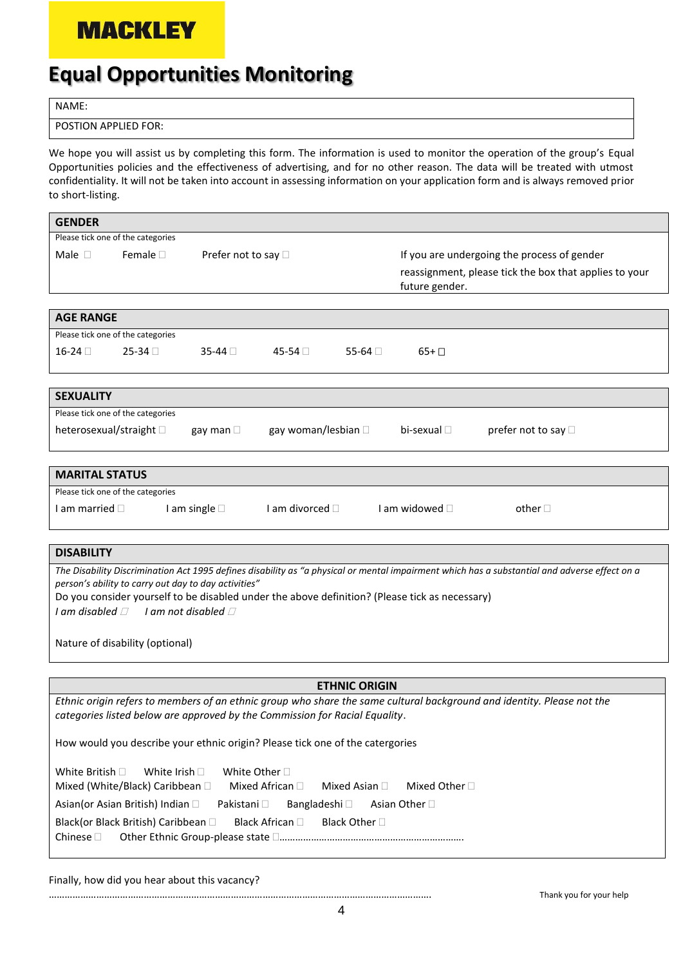## **MACKLEY**

# **Equal Opportunities Monitoring**

NAME:

POSTION APPLIED FOR:

We hope you will assist us by completing this form. The information is used to monitor the operation of the group's Equal Opportunities policies and the effectiveness of advertising, and for no other reason. The data will be treated with utmost confidentiality. It will not be taken into account in assessing information on your application form and is always removed prior to short-listing.

| <b>GENDER</b>                                                                                                                                                                                                                                                                                           |  |  |  |  |  |
|---------------------------------------------------------------------------------------------------------------------------------------------------------------------------------------------------------------------------------------------------------------------------------------------------------|--|--|--|--|--|
| Please tick one of the categories                                                                                                                                                                                                                                                                       |  |  |  |  |  |
| Male $\Box$<br>Female $\square$<br>Prefer not to say □<br>If you are undergoing the process of gender                                                                                                                                                                                                   |  |  |  |  |  |
| reassignment, please tick the box that applies to your                                                                                                                                                                                                                                                  |  |  |  |  |  |
| future gender.                                                                                                                                                                                                                                                                                          |  |  |  |  |  |
|                                                                                                                                                                                                                                                                                                         |  |  |  |  |  |
| <b>AGE RANGE</b>                                                                                                                                                                                                                                                                                        |  |  |  |  |  |
| Please tick one of the categories                                                                                                                                                                                                                                                                       |  |  |  |  |  |
| $16-24$<br>$25-34$<br>$35-44$<br>45-54 □<br>55-64 $\Box$<br>$65+$                                                                                                                                                                                                                                       |  |  |  |  |  |
|                                                                                                                                                                                                                                                                                                         |  |  |  |  |  |
|                                                                                                                                                                                                                                                                                                         |  |  |  |  |  |
| <b>SEXUALITY</b>                                                                                                                                                                                                                                                                                        |  |  |  |  |  |
| Please tick one of the categories                                                                                                                                                                                                                                                                       |  |  |  |  |  |
| heterosexual/straight D<br>gay woman/lesbian □<br>bi-sexual $\Box$<br>prefer not to say □<br>gay man $\square$                                                                                                                                                                                          |  |  |  |  |  |
|                                                                                                                                                                                                                                                                                                         |  |  |  |  |  |
| <b>MARITAL STATUS</b>                                                                                                                                                                                                                                                                                   |  |  |  |  |  |
|                                                                                                                                                                                                                                                                                                         |  |  |  |  |  |
| Please tick one of the categories                                                                                                                                                                                                                                                                       |  |  |  |  |  |
| I am single $\square$<br>I am divorced $\Box$<br>I am widowed $\square$<br>I am married $\Box$<br>other $\square$                                                                                                                                                                                       |  |  |  |  |  |
|                                                                                                                                                                                                                                                                                                         |  |  |  |  |  |
| <b>DISABILITY</b>                                                                                                                                                                                                                                                                                       |  |  |  |  |  |
| The Disability Discrimination Act 1995 defines disability as "a physical or mental impairment which has a substantial and adverse effect on a<br>person's ability to carry out day to day activities"<br>Do you consider yourself to be disabled under the above definition? (Please tick as necessary) |  |  |  |  |  |
| I am disabled $\Box$ I am not disabled $\Box$                                                                                                                                                                                                                                                           |  |  |  |  |  |
|                                                                                                                                                                                                                                                                                                         |  |  |  |  |  |
| Nature of disability (optional)                                                                                                                                                                                                                                                                         |  |  |  |  |  |
|                                                                                                                                                                                                                                                                                                         |  |  |  |  |  |
| <b>ETHNIC ORIGIN</b>                                                                                                                                                                                                                                                                                    |  |  |  |  |  |
| Ethnic origin refers to members of an ethnic aroun who share the same cultural backaround and identity. Please not the                                                                                                                                                                                  |  |  |  |  |  |

*Ethnic origin refers to members of an ethnic group who share the same cultural background and identity. Please not the categories listed below are approved by the Commission for Racial Equality*.

How would you describe your ethnic origin? Please tick one of the catergories

White British  $\square$  White Irish  $\square$  White Other  $\square$ Mixed (White/Black) Caribbean  $\Box$  Mixed African  $\Box$  Mixed Asian  $\Box$  Mixed Other  $\Box$ Asian(or Asian British) Indian Pakistani Bangladeshi Asian Other Black(or Black British) Caribbean  $\Box$  Black African  $\Box$  Black Other  $\Box$ Chinese Other Ethnic Group-please state …………………………………………………………….

Finally, how did you hear about this vacancy?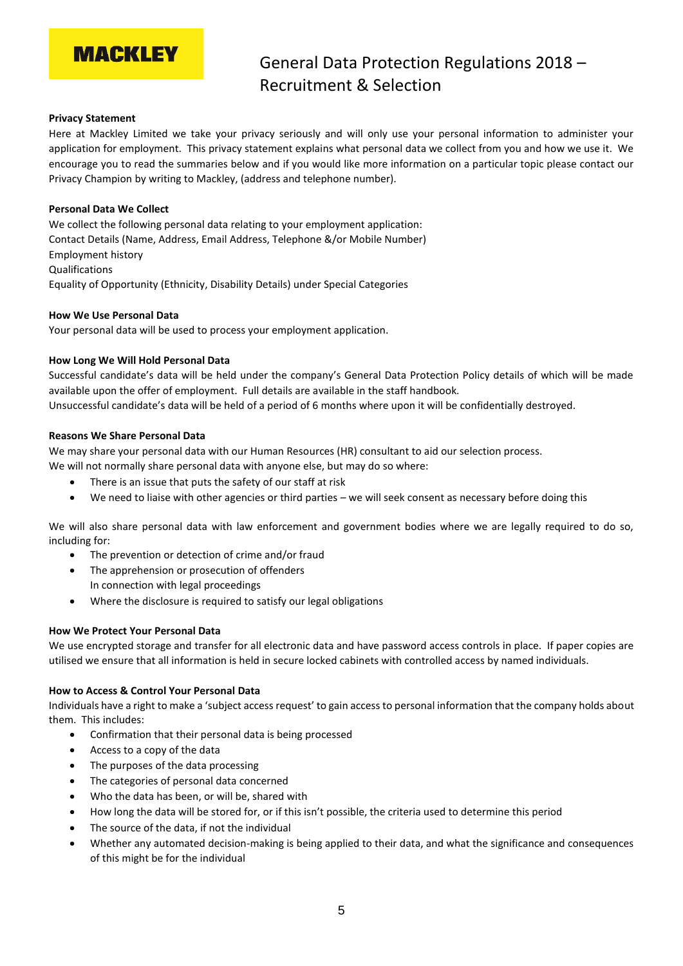## **MACKLEY**

### General Data Protection Regulations 2018 – Recruitment & Selection

#### **Privacy Statement**

Here at Mackley Limited we take your privacy seriously and will only use your personal information to administer your application for employment. This privacy statement explains what personal data we collect from you and how we use it. We encourage you to read the summaries below and if you would like more information on a particular topic please contact our Privacy Champion by writing to Mackley, (address and telephone number).

#### **Personal Data We Collect**

We collect the following personal data relating to your employment application: Contact Details (Name, Address, Email Address, Telephone &/or Mobile Number) Employment history Qualifications Equality of Opportunity (Ethnicity, Disability Details) under Special Categories

#### **How We Use Personal Data**

Your personal data will be used to process your employment application.

#### **How Long We Will Hold Personal Data**

Successful candidate's data will be held under the company's General Data Protection Policy details of which will be made available upon the offer of employment. Full details are available in the staff handbook. Unsuccessful candidate's data will be held of a period of 6 months where upon it will be confidentially destroyed.

#### **Reasons We Share Personal Data**

We may share your personal data with our Human Resources (HR) consultant to aid our selection process. We will not normally share personal data with anyone else, but may do so where:

- There is an issue that puts the safety of our staff at risk
- We need to liaise with other agencies or third parties we will seek consent as necessary before doing this

We will also share personal data with law enforcement and government bodies where we are legally required to do so, including for:

- The prevention or detection of crime and/or fraud
- The apprehension or prosecution of offenders In connection with legal proceedings
- Where the disclosure is required to satisfy our legal obligations

#### **How We Protect Your Personal Data**

We use encrypted storage and transfer for all electronic data and have password access controls in place. If paper copies are utilised we ensure that all information is held in secure locked cabinets with controlled access by named individuals.

#### **How to Access & Control Your Personal Data**

Individuals have a right to make a 'subject access request' to gain access to personal information that the company holds about them. This includes:

- Confirmation that their personal data is being processed
- Access to a copy of the data
- The purposes of the data processing
- The categories of personal data concerned
- Who the data has been, or will be, shared with
- How long the data will be stored for, or if this isn't possible, the criteria used to determine this period
- The source of the data, if not the individual
- Whether any automated decision-making is being applied to their data, and what the significance and consequences of this might be for the individual